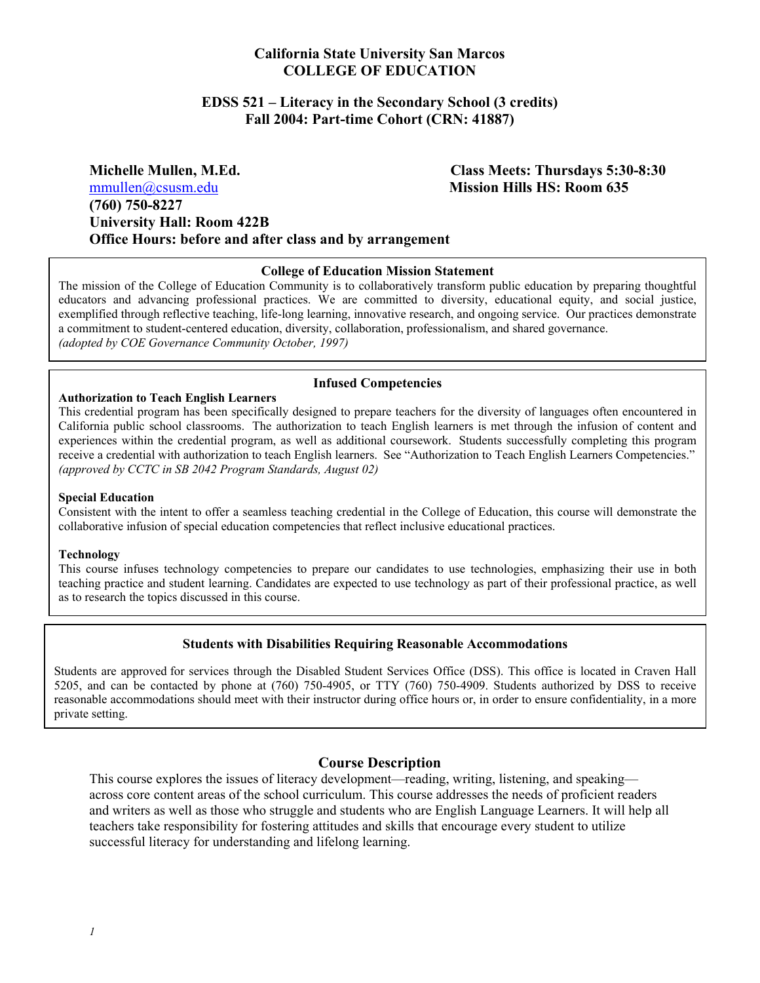# **California State University San Marcos COLLEGE OF EDUCATION**

### **EDSS 521 – Literacy in the Secondary School (3 credits) Fall 2004: Part-time Cohort (CRN: 41887)**

**Michelle Mullen, M.Ed. Class Meets: Thursdays 5:30-8:30**  mmullen@csusm.edu **Mission Hills HS: Room 635 (760) 750-8227 University Hall: Room 422B Office Hours: before and after class and by arrangement** 

#### **College of Education Mission Statement**

The mission of the College of Education Community is to collaboratively transform public education by preparing thoughtful educators and advancing professional practices. We are committed to diversity, educational equity, and social justice, exemplified through reflective teaching, life-long learning, innovative research, and ongoing service. Our practices demonstrate a commitment to student-centered education, diversity, collaboration, professionalism, and shared governance. *(adopted by COE Governance Community October, 1997)*

#### **Infused Competencies**

#### **Authorization to Teach English Learners**  This credential program has been specifically designed to prepare teachers for the diversity of languages often encountered in California public school classrooms. The authorization to teach English learners is met through the infusion of content and experiences within the credential program, as well as additional coursework. Students successfully completing this program receive a credential with authorization to teach English learners. See "Authorization to Teach English Learners Competencies."

# **Special Education**

*(approved by CCTC in SB 2042 Program Standards, August 02)* 

Consistent with the intent to offer a seamless teaching credential in the College of Education, this course will demonstrate the collaborative infusion of special education competencies that reflect inclusive educational practices.

#### **Technology**

This course infuses technology competencies to prepare our candidates to use technologies, emphasizing their use in both teaching practice and student learning. Candidates are expected to use technology as part of their professional practice, as well as to research the topics discussed in this course.

#### **Students with Disabilities Requiring Reasonable Accommodations**

Students are approved for services through the Disabled Student Services Office (DSS). This office is located in Craven Hall 5205, and can be contacted by phone at (760) 750-4905, or TTY (760) 750-4909. Students authorized by DSS to receive reasonable accommodations should meet with their instructor during office hours or, in order to ensure confidentiality, in a more private setting.

#### **Course Description**

This course explores the issues of literacy development—reading, writing, listening, and speaking across core content areas of the school curriculum. This course addresses the needs of proficient readers and writers as well as those who struggle and students who are English Language Learners. It will help all teachers take responsibility for fostering attitudes and skills that encourage every student to utilize successful literacy for understanding and lifelong learning.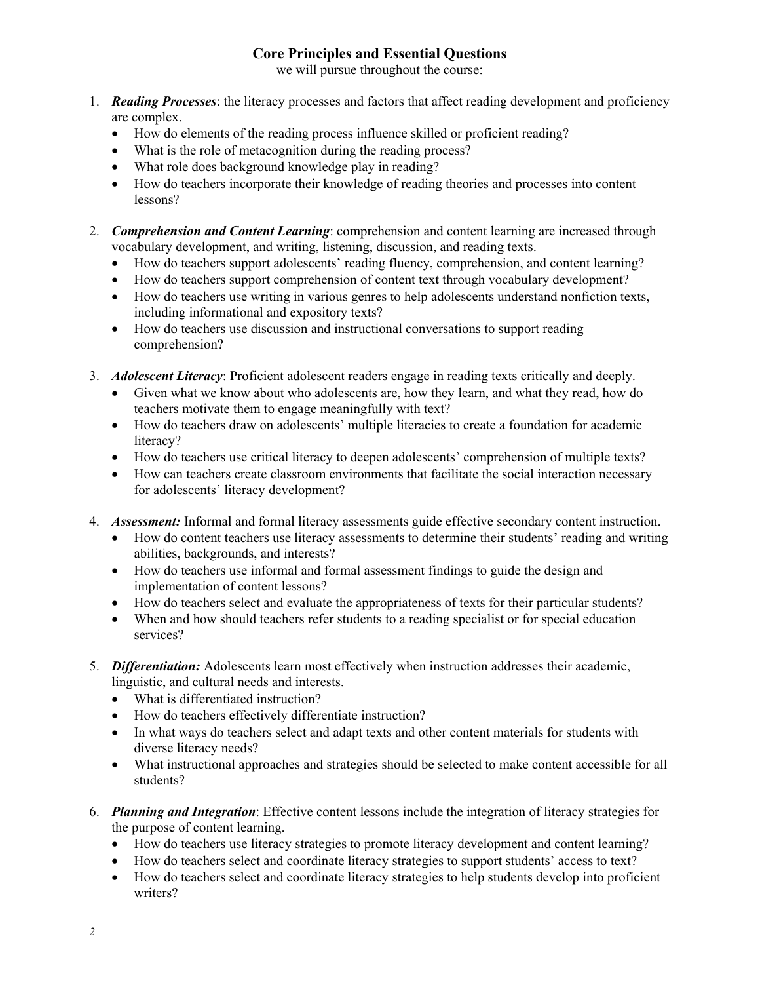# **Core Principles and Essential Questions**

we will pursue throughout the course:

- 1. *Reading Processes*: the literacy processes and factors that affect reading development and proficiency are complex.
	- How do elements of the reading process influence skilled or proficient reading?
	- What is the role of metacognition during the reading process?
	- What role does background knowledge play in reading?
	- How do teachers incorporate their knowledge of reading theories and processes into content lessons?
- 2. *Comprehension and Content Learning*: comprehension and content learning are increased through vocabulary development, and writing, listening, discussion, and reading texts.
	- How do teachers support adolescents' reading fluency, comprehension, and content learning?
	- How do teachers support comprehension of content text through vocabulary development?
	- How do teachers use writing in various genres to help adolescents understand nonfiction texts, including informational and expository texts?
	- How do teachers use discussion and instructional conversations to support reading comprehension?
- 3. *Adolescent Literacy*: Proficient adolescent readers engage in reading texts critically and deeply.
	- Given what we know about who adolescents are, how they learn, and what they read, how do teachers motivate them to engage meaningfully with text?
	- How do teachers draw on adolescents' multiple literacies to create a foundation for academic literacy?
	- How do teachers use critical literacy to deepen adolescents' comprehension of multiple texts?
	- How can teachers create classroom environments that facilitate the social interaction necessary for adolescents' literacy development?
- 4. *Assessment:* Informal and formal literacy assessments guide effective secondary content instruction.
	- How do content teachers use literacy assessments to determine their students' reading and writing abilities, backgrounds, and interests?
	- How do teachers use informal and formal assessment findings to guide the design and implementation of content lessons?
	- How do teachers select and evaluate the appropriateness of texts for their particular students?
	- When and how should teachers refer students to a reading specialist or for special education services?
- 5. *Differentiation:* Adolescents learn most effectively when instruction addresses their academic, linguistic, and cultural needs and interests.
	- What is differentiated instruction?
	- How do teachers effectively differentiate instruction?
	- In what ways do teachers select and adapt texts and other content materials for students with diverse literacy needs?
	- What instructional approaches and strategies should be selected to make content accessible for all students?
- 6. *Planning and Integration*: Effective content lessons include the integration of literacy strategies for the purpose of content learning.
	- How do teachers use literacy strategies to promote literacy development and content learning?
	- How do teachers select and coordinate literacy strategies to support students' access to text?
	- How do teachers select and coordinate literacy strategies to help students develop into proficient writers?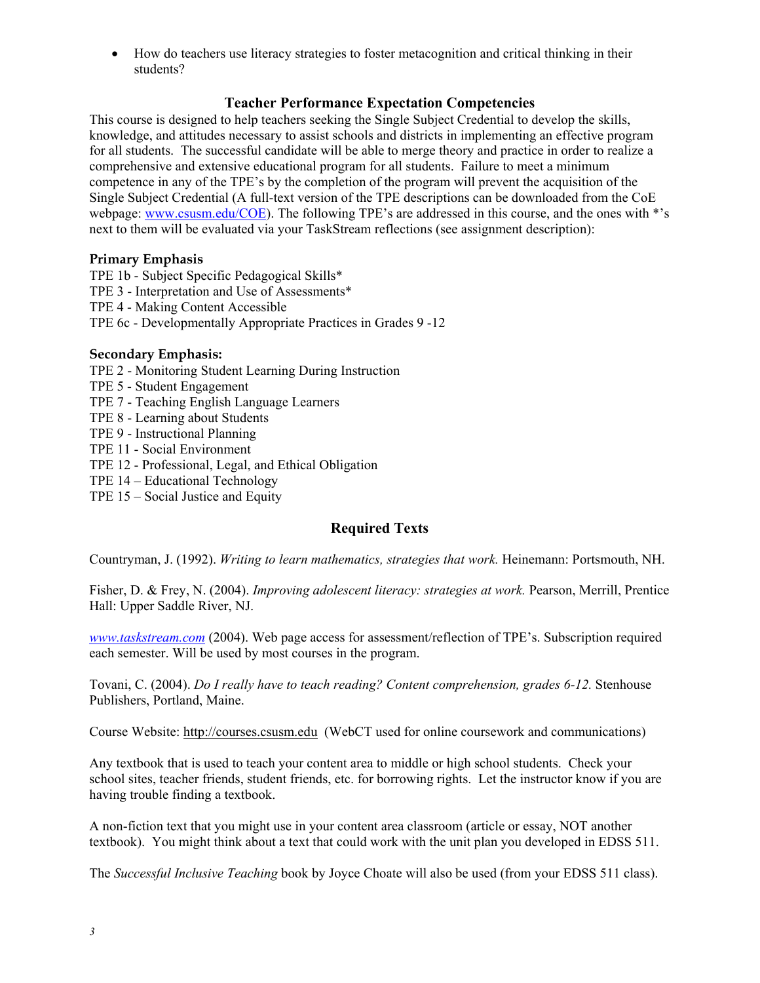• How do teachers use literacy strategies to foster metacognition and critical thinking in their students?

# **Teacher Performance Expectation Competencies**

This course is designed to help teachers seeking the Single Subject Credential to develop the skills, knowledge, and attitudes necessary to assist schools and districts in implementing an effective program for all students. The successful candidate will be able to merge theory and practice in order to realize a comprehensive and extensive educational program for all students. Failure to meet a minimum competence in any of the TPE's by the completion of the program will prevent the acquisition of the Single Subject Credential (A full-text version of the TPE descriptions can be downloaded from the CoE webpage: www.csusm.edu/COE). The following TPE's are addressed in this course, and the ones with \*'s next to them will be evaluated via your TaskStream reflections (see assignment description):

# **Primary Emphasis**

TPE 1b - Subject Specific Pedagogical Skills\* TPE 3 - Interpretation and Use of Assessments\* TPE 4 - Making Content Accessible TPE 6c - Developmentally Appropriate Practices in Grades 9 -12

# **Secondary Emphasis:**

- TPE 2 Monitoring Student Learning During Instruction
- TPE 5 Student Engagement
- TPE 7 Teaching English Language Learners
- TPE 8 Learning about Students
- TPE 9 Instructional Planning
- TPE 11 Social Environment
- TPE 12 Professional, Legal, and Ethical Obligation
- TPE 14 Educational Technology
- TPE 15 Social Justice and Equity

# **Required Texts**

Countryman, J. (1992). *Writing to learn mathematics, strategies that work.* Heinemann: Portsmouth, NH.

Fisher, D. & Frey, N. (2004). *Improving adolescent literacy: strategies at work.* Pearson, Merrill, Prentice Hall: Upper Saddle River, NJ.

*www.taskstream.com* (2004). Web page access for assessment/reflection of TPE's. Subscription required each semester. Will be used by most courses in the program.

Tovani, C. (2004). *Do I really have to teach reading? Content comprehension, grades 6-12.* Stenhouse Publishers, Portland, Maine.

Course Website: http://courses.csusm.edu (WebCT used for online coursework and communications)

Any textbook that is used to teach your content area to middle or high school students. Check your school sites, teacher friends, student friends, etc. for borrowing rights. Let the instructor know if you are having trouble finding a textbook.

A non-fiction text that you might use in your content area classroom (article or essay, NOT another textbook). You might think about a text that could work with the unit plan you developed in EDSS 511.

The *Successful Inclusive Teaching* book by Joyce Choate will also be used (from your EDSS 511 class).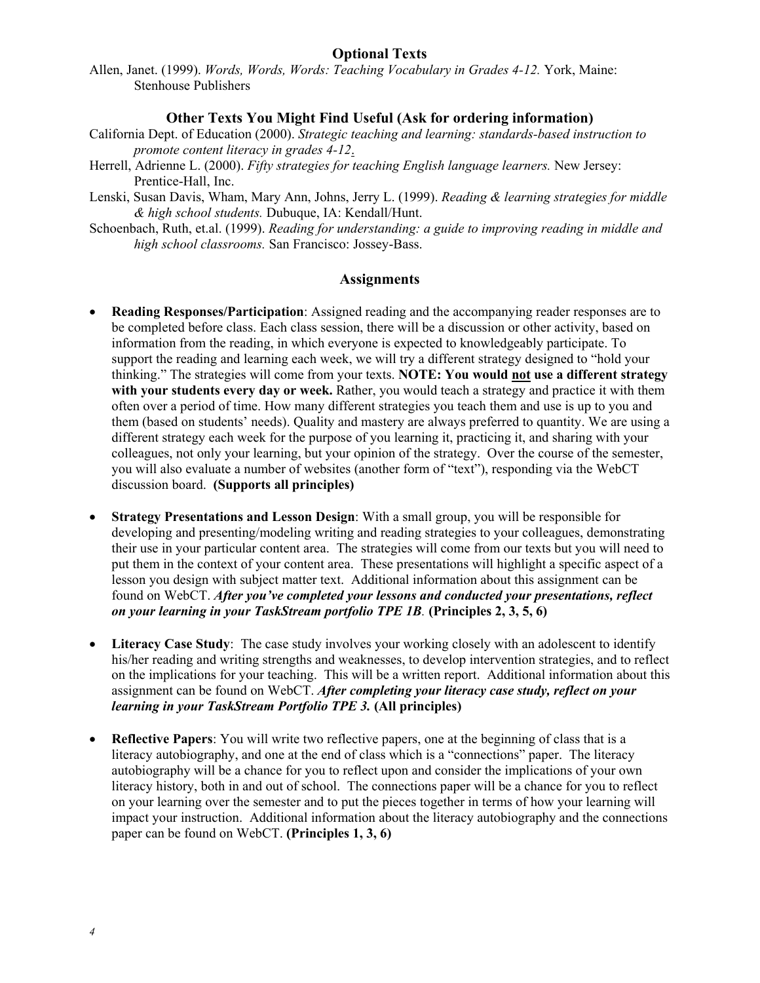# **Optional Texts**

Allen, Janet. (1999). *Words, Words, Words: Teaching Vocabulary in Grades 4-12.* York, Maine: Stenhouse Publishers

### **Other Texts You Might Find Useful (Ask for ordering information)**

- California Dept. of Education (2000). *Strategic teaching and learning: standards-based instruction to promote content literacy in grades 4-12*.
- Herrell, Adrienne L. (2000). *Fifty strategies for teaching English language learners.* New Jersey: Prentice-Hall, Inc.
- Lenski, Susan Davis, Wham, Mary Ann, Johns, Jerry L. (1999). *Reading & learning strategies for middle & high school students.* Dubuque, IA: Kendall/Hunt.
- Schoenbach, Ruth, et.al. (1999). *Reading for understanding: a guide to improving reading in middle and high school classrooms.* San Francisco: Jossey-Bass.

### **Assignments**

- **Reading Responses/Participation**: Assigned reading and the accompanying reader responses are to be completed before class. Each class session, there will be a discussion or other activity, based on information from the reading, in which everyone is expected to knowledgeably participate. To support the reading and learning each week, we will try a different strategy designed to "hold your thinking." The strategies will come from your texts. **NOTE: You would not use a different strategy with your students every day or week.** Rather, you would teach a strategy and practice it with them often over a period of time. How many different strategies you teach them and use is up to you and them (based on students' needs). Quality and mastery are always preferred to quantity. We are using a different strategy each week for the purpose of you learning it, practicing it, and sharing with your colleagues, not only your learning, but your opinion of the strategy. Over the course of the semester, you will also evaluate a number of websites (another form of "text"), responding via the WebCT discussion board. **(Supports all principles)**
- **Strategy Presentations and Lesson Design**: With a small group, you will be responsible for developing and presenting/modeling writing and reading strategies to your colleagues, demonstrating their use in your particular content area. The strategies will come from our texts but you will need to put them in the context of your content area. These presentations will highlight a specific aspect of a lesson you design with subject matter text. Additional information about this assignment can be found on WebCT. *After you've completed your lessons and conducted your presentations, reflect on your learning in your TaskStream portfolio TPE 1B.* **(Principles 2, 3, 5, 6)**
- **Literacy Case Study**: The case study involves your working closely with an adolescent to identify his/her reading and writing strengths and weaknesses, to develop intervention strategies, and to reflect on the implications for your teaching. This will be a written report. Additional information about this assignment can be found on WebCT. *After completing your literacy case study, reflect on your learning in your TaskStream Portfolio TPE 3.* **(All principles)**
- **Reflective Papers**: You will write two reflective papers, one at the beginning of class that is a literacy autobiography, and one at the end of class which is a "connections" paper. The literacy autobiography will be a chance for you to reflect upon and consider the implications of your own literacy history, both in and out of school. The connections paper will be a chance for you to reflect on your learning over the semester and to put the pieces together in terms of how your learning will impact your instruction. Additional information about the literacy autobiography and the connections paper can be found on WebCT. **(Principles 1, 3, 6)**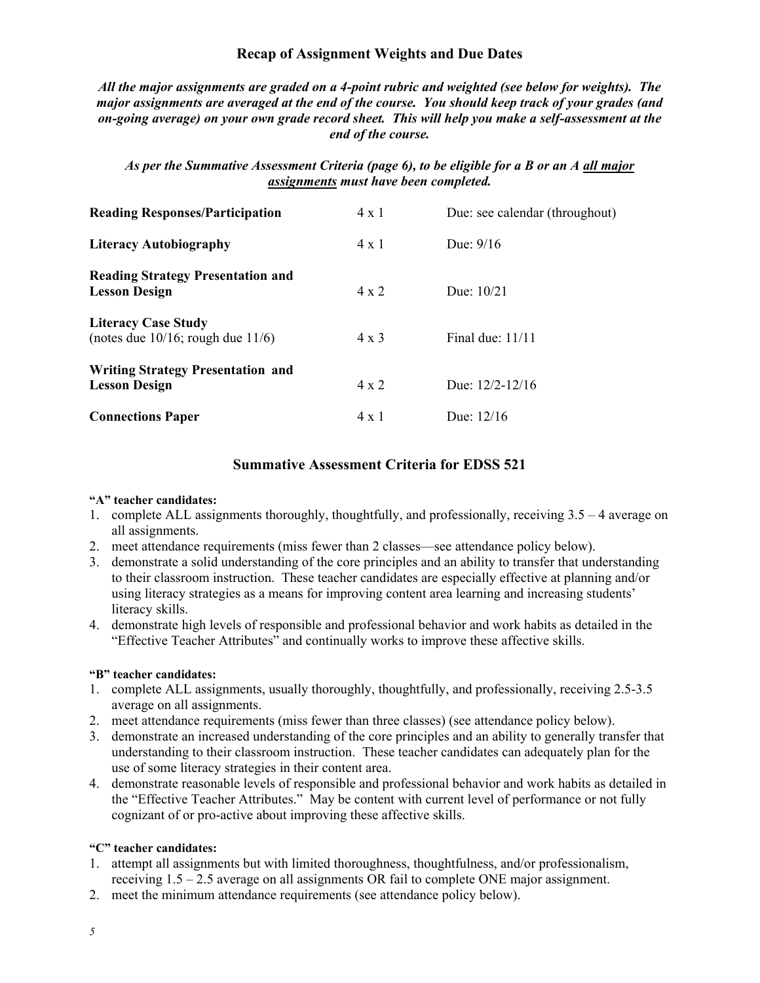# **Recap of Assignment Weights and Due Dates**

*All the major assignments are graded on a 4-point rubric and weighted (see below for weights). The major assignments are averaged at the end of the course. You should keep track of your grades (and on-going average) on your own grade record sheet. This will help you make a self-assessment at the end of the course.* 

# *As per the Summative Assessment Criteria (page 6), to be eligible for a B or an A all major assignments must have been completed.*

| <b>Reading Responses/Participation</b>                                | $4 \times 1$ | Due: see calendar (throughout) |
|-----------------------------------------------------------------------|--------------|--------------------------------|
| <b>Literacy Autobiography</b>                                         | $4 \times 1$ | Due: $9/16$                    |
| <b>Reading Strategy Presentation and</b><br><b>Lesson Design</b>      | $4 \times 2$ | Due: $10/21$                   |
| <b>Literacy Case Study</b><br>(notes due $10/16$ ; rough due $11/6$ ) | $4 \times 3$ | Final due: $11/11$             |
| <b>Writing Strategy Presentation and</b><br><b>Lesson Design</b>      | $4 \times 2$ | Due: $12/2 - 12/16$            |
| <b>Connections Paper</b>                                              | 4 x 1        | Due: $12/16$                   |

# **Summative Assessment Criteria for EDSS 521**

#### **"A" teacher candidates:**

- 1. complete ALL assignments thoroughly, thoughtfully, and professionally, receiving 3.5 4 average on all assignments.
- 2. meet attendance requirements (miss fewer than 2 classes—see attendance policy below).
- 3. demonstrate a solid understanding of the core principles and an ability to transfer that understanding to their classroom instruction. These teacher candidates are especially effective at planning and/or using literacy strategies as a means for improving content area learning and increasing students' literacy skills.
- 4. demonstrate high levels of responsible and professional behavior and work habits as detailed in the "Effective Teacher Attributes" and continually works to improve these affective skills.

#### **"B" teacher candidates:**

- 1. complete ALL assignments, usually thoroughly, thoughtfully, and professionally, receiving 2.5-3.5 average on all assignments.
- 2. meet attendance requirements (miss fewer than three classes) (see attendance policy below).
- 3. demonstrate an increased understanding of the core principles and an ability to generally transfer that understanding to their classroom instruction. These teacher candidates can adequately plan for the use of some literacy strategies in their content area.
- 4. demonstrate reasonable levels of responsible and professional behavior and work habits as detailed in the "Effective Teacher Attributes." May be content with current level of performance or not fully cognizant of or pro-active about improving these affective skills.

#### **"C" teacher candidates:**

- 1. attempt all assignments but with limited thoroughness, thoughtfulness, and/or professionalism, receiving 1.5 – 2.5 average on all assignments OR fail to complete ONE major assignment.
- 2. meet the minimum attendance requirements (see attendance policy below).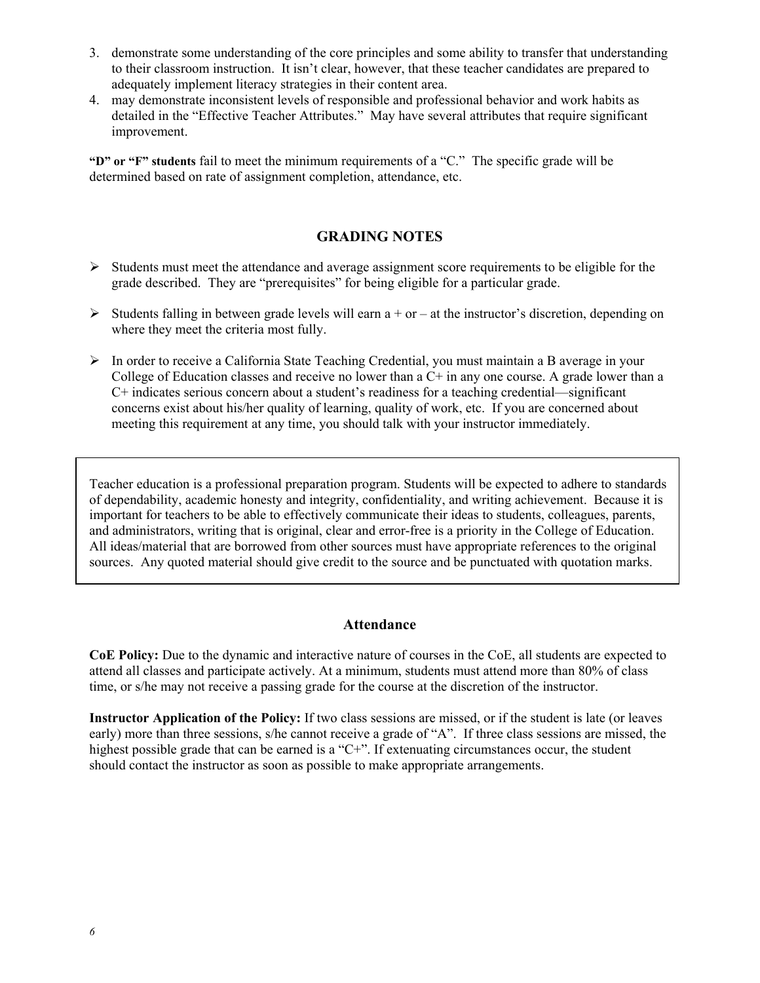- 3. demonstrate some understanding of the core principles and some ability to transfer that understanding to their classroom instruction. It isn't clear, however, that these teacher candidates are prepared to adequately implement literacy strategies in their content area.
- 4. may demonstrate inconsistent levels of responsible and professional behavior and work habits as detailed in the "Effective Teacher Attributes." May have several attributes that require significant improvement.

**"D" or "F" students** fail to meet the minimum requirements of a "C." The specific grade will be determined based on rate of assignment completion, attendance, etc.

# **GRADING NOTES**

- ¾ Students must meet the attendance and average assignment score requirements to be eligible for the grade described. They are "prerequisites" for being eligible for a particular grade.
- $\triangleright$  Students falling in between grade levels will earn a + or at the instructor's discretion, depending on where they meet the criteria most fully.
- ¾ In order to receive a California State Teaching Credential, you must maintain a B average in your College of Education classes and receive no lower than a C+ in any one course. A grade lower than a C+ indicates serious concern about a student's readiness for a teaching credential—significant concerns exist about his/her quality of learning, quality of work, etc. If you are concerned about meeting this requirement at any time, you should talk with your instructor immediately.

Teacher education is a professional preparation program. Students will be expected to adhere to standards of dependability, academic honesty and integrity, confidentiality, and writing achievement. Because it is important for teachers to be able to effectively communicate their ideas to students, colleagues, parents, and administrators, writing that is original, clear and error-free is a priority in the College of Education. All ideas/material that are borrowed from other sources must have appropriate references to the original sources. Any quoted material should give credit to the source and be punctuated with quotation marks.

## **Attendance**

**CoE Policy:** Due to the dynamic and interactive nature of courses in the CoE, all students are expected to attend all classes and participate actively. At a minimum, students must attend more than 80% of class time, or s/he may not receive a passing grade for the course at the discretion of the instructor.

**Instructor Application of the Policy:** If two class sessions are missed, or if the student is late (or leaves early) more than three sessions, s/he cannot receive a grade of "A". If three class sessions are missed, the highest possible grade that can be earned is a "C+". If extenuating circumstances occur, the student should contact the instructor as soon as possible to make appropriate arrangements.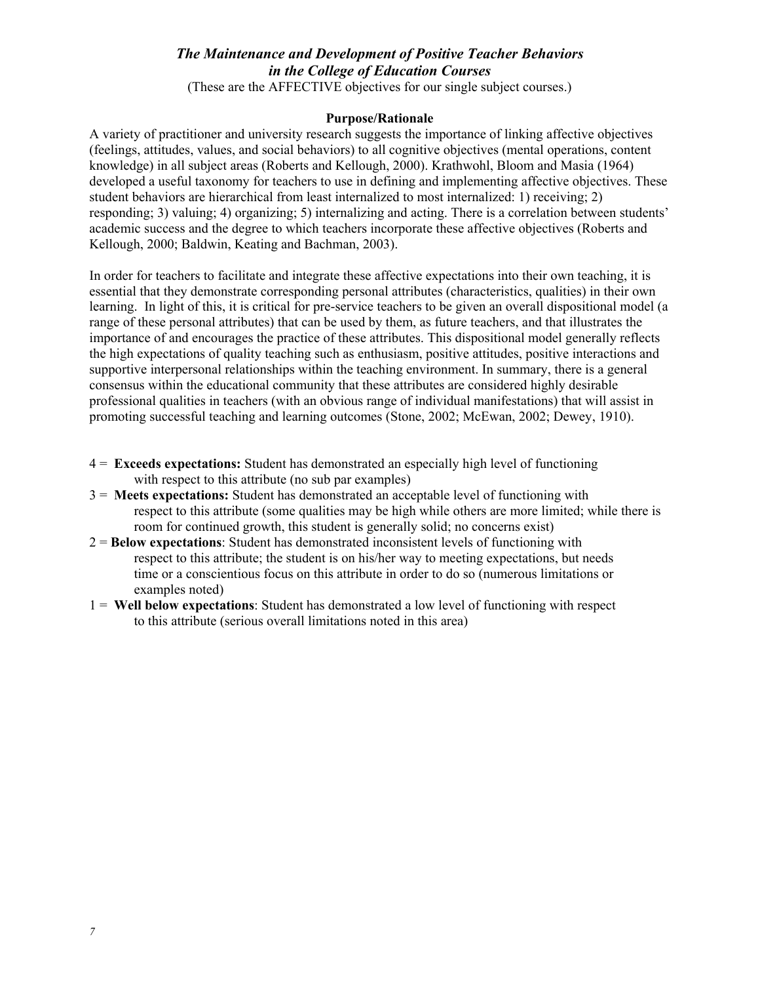# *The Maintenance and Development of Positive Teacher Behaviors in the College of Education Courses*

(These are the AFFECTIVE objectives for our single subject courses.)

#### **Purpose/Rationale**

A variety of practitioner and university research suggests the importance of linking affective objectives (feelings, attitudes, values, and social behaviors) to all cognitive objectives (mental operations, content knowledge) in all subject areas (Roberts and Kellough, 2000). Krathwohl, Bloom and Masia (1964) developed a useful taxonomy for teachers to use in defining and implementing affective objectives. These student behaviors are hierarchical from least internalized to most internalized: 1) receiving; 2) responding; 3) valuing; 4) organizing; 5) internalizing and acting. There is a correlation between students' academic success and the degree to which teachers incorporate these affective objectives (Roberts and Kellough, 2000; Baldwin, Keating and Bachman, 2003).

In order for teachers to facilitate and integrate these affective expectations into their own teaching, it is essential that they demonstrate corresponding personal attributes (characteristics, qualities) in their own learning. In light of this, it is critical for pre-service teachers to be given an overall dispositional model (a range of these personal attributes) that can be used by them, as future teachers, and that illustrates the importance of and encourages the practice of these attributes. This dispositional model generally reflects the high expectations of quality teaching such as enthusiasm, positive attitudes, positive interactions and supportive interpersonal relationships within the teaching environment. In summary, there is a general consensus within the educational community that these attributes are considered highly desirable professional qualities in teachers (with an obvious range of individual manifestations) that will assist in promoting successful teaching and learning outcomes (Stone, 2002; McEwan, 2002; Dewey, 1910).

- 4 = **Exceeds expectations:** Student has demonstrated an especially high level of functioning with respect to this attribute (no sub par examples)
- 3 = **Meets expectations:** Student has demonstrated an acceptable level of functioning with respect to this attribute (some qualities may be high while others are more limited; while there is room for continued growth, this student is generally solid; no concerns exist)
- 2 = **Below expectations**: Student has demonstrated inconsistent levels of functioning with respect to this attribute; the student is on his/her way to meeting expectations, but needs time or a conscientious focus on this attribute in order to do so (numerous limitations or examples noted)
- 1 = **Well below expectations**: Student has demonstrated a low level of functioning with respect to this attribute (serious overall limitations noted in this area)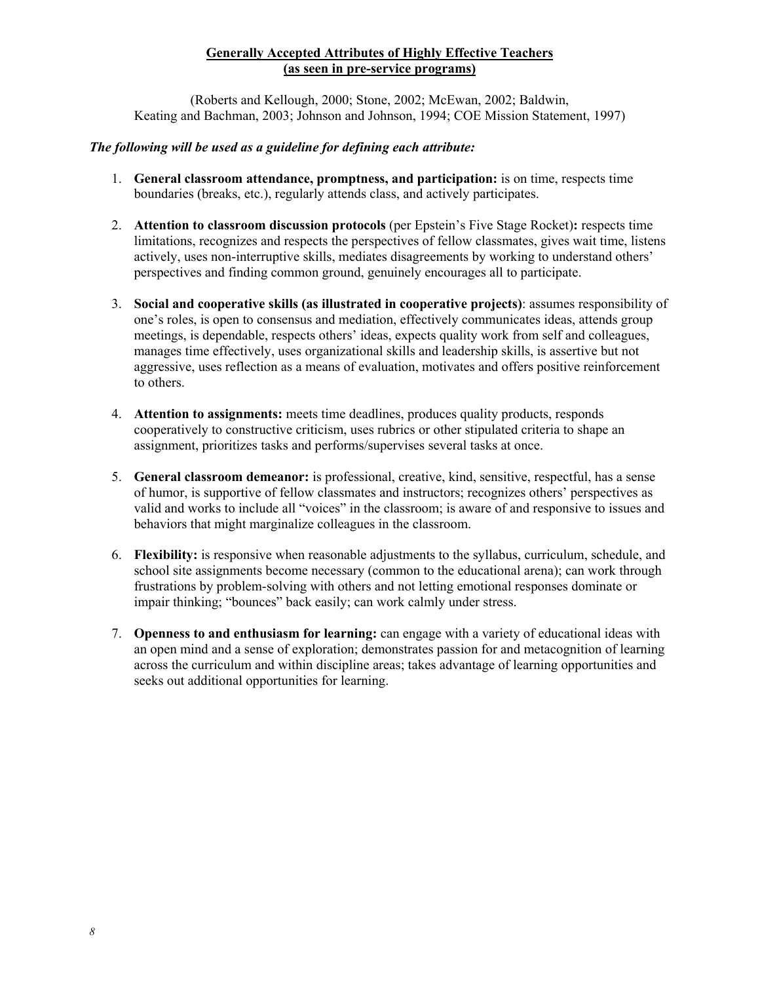# **Generally Accepted Attributes of Highly Effective Teachers (as seen in pre-service programs)**

(Roberts and Kellough, 2000; Stone, 2002; McEwan, 2002; Baldwin, Keating and Bachman, 2003; Johnson and Johnson, 1994; COE Mission Statement, 1997)

### *The following will be used as a guideline for defining each attribute:*

- 1. **General classroom attendance, promptness, and participation:** is on time, respects time boundaries (breaks, etc.), regularly attends class, and actively participates.
- 2. **Attention to classroom discussion protocols** (per Epstein's Five Stage Rocket)**:** respects time limitations, recognizes and respects the perspectives of fellow classmates, gives wait time, listens actively, uses non-interruptive skills, mediates disagreements by working to understand others' perspectives and finding common ground, genuinely encourages all to participate.
- 3. **Social and cooperative skills (as illustrated in cooperative projects)**: assumes responsibility of one's roles, is open to consensus and mediation, effectively communicates ideas, attends group meetings, is dependable, respects others' ideas, expects quality work from self and colleagues, manages time effectively, uses organizational skills and leadership skills, is assertive but not aggressive, uses reflection as a means of evaluation, motivates and offers positive reinforcement to others.
- 4. **Attention to assignments:** meets time deadlines, produces quality products, responds cooperatively to constructive criticism, uses rubrics or other stipulated criteria to shape an assignment, prioritizes tasks and performs/supervises several tasks at once.
- 5. **General classroom demeanor:** is professional, creative, kind, sensitive, respectful, has a sense of humor, is supportive of fellow classmates and instructors; recognizes others' perspectives as valid and works to include all "voices" in the classroom; is aware of and responsive to issues and behaviors that might marginalize colleagues in the classroom.
- 6. **Flexibility:** is responsive when reasonable adjustments to the syllabus, curriculum, schedule, and school site assignments become necessary (common to the educational arena); can work through frustrations by problem-solving with others and not letting emotional responses dominate or impair thinking; "bounces" back easily; can work calmly under stress.
- 7. **Openness to and enthusiasm for learning:** can engage with a variety of educational ideas with an open mind and a sense of exploration; demonstrates passion for and metacognition of learning across the curriculum and within discipline areas; takes advantage of learning opportunities and seeks out additional opportunities for learning.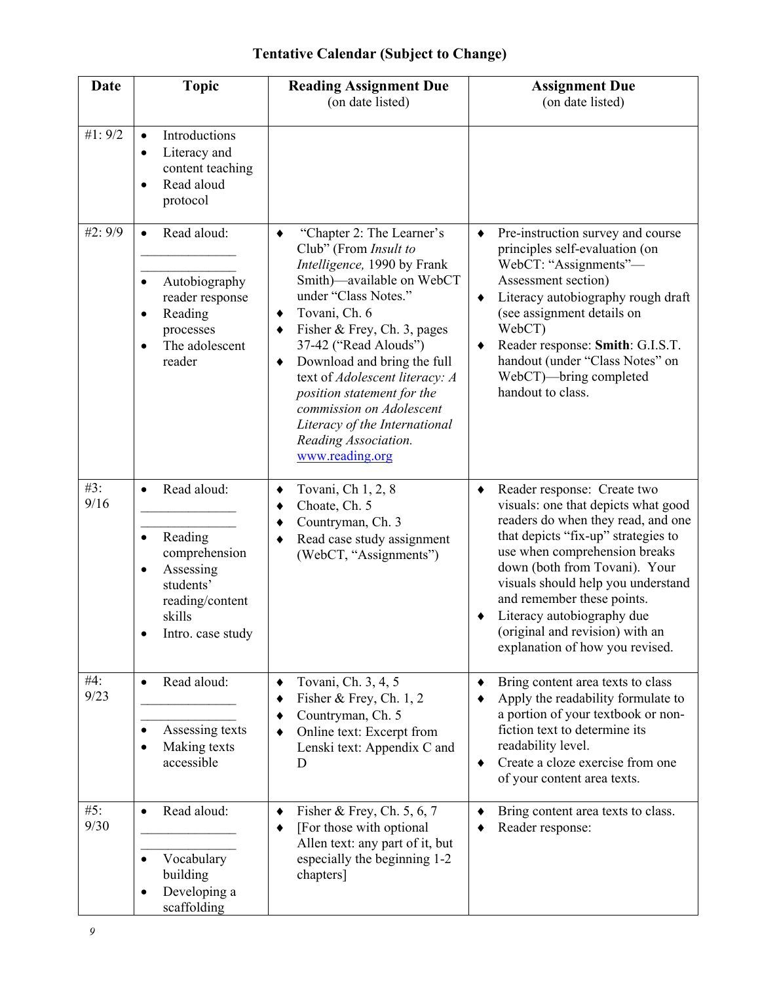# **Tentative Calendar (Subject to Change)**

| <b>Date</b> | <b>Topic</b>                                                                                                                                               | <b>Reading Assignment Due</b><br>(on date listed)                                                                                                                                                                                                                                                                                                                                                                                          | <b>Assignment Due</b><br>(on date listed)                                                                                                                                                                                                                                                                                                                                                      |
|-------------|------------------------------------------------------------------------------------------------------------------------------------------------------------|--------------------------------------------------------------------------------------------------------------------------------------------------------------------------------------------------------------------------------------------------------------------------------------------------------------------------------------------------------------------------------------------------------------------------------------------|------------------------------------------------------------------------------------------------------------------------------------------------------------------------------------------------------------------------------------------------------------------------------------------------------------------------------------------------------------------------------------------------|
| #1: 9/2     | Introductions<br>$\bullet$<br>Literacy and<br>$\bullet$<br>content teaching<br>Read aloud<br>$\bullet$<br>protocol                                         |                                                                                                                                                                                                                                                                                                                                                                                                                                            |                                                                                                                                                                                                                                                                                                                                                                                                |
| #2: 9/9     | Read aloud:<br>$\bullet$<br>Autobiography<br>$\bullet$<br>reader response<br>Reading<br>$\bullet$<br>processes<br>The adolescent<br>٠<br>reader            | "Chapter 2: The Learner's<br>٠<br>Club" (From Insult to<br>Intelligence, 1990 by Frank<br>Smith)—available on WebCT<br>under "Class Notes."<br>Tovani, Ch. 6<br>٠<br>Fisher & Frey, Ch. 3, pages<br>٠<br>37-42 ("Read Alouds")<br>Download and bring the full<br>٠<br>text of Adolescent literacy: A<br>position statement for the<br>commission on Adolescent<br>Literacy of the International<br>Reading Association.<br>www.reading.org | Pre-instruction survey and course<br>$\blacklozenge$<br>principles self-evaluation (on<br>WebCT: "Assignments"-<br>Assessment section)<br>Literacy autobiography rough draft<br>٠<br>(see assignment details on<br>WebCT)<br>Reader response: Smith: G.I.S.T.<br>٠<br>handout (under "Class Notes" on<br>WebCT)—bring completed<br>handout to class.                                           |
| #3:<br>9/16 | Read aloud:<br>$\bullet$<br>Reading<br>$\bullet$<br>comprehension<br>Assessing<br>$\bullet$<br>students'<br>reading/content<br>skills<br>Intro. case study | Tovani, Ch 1, 2, 8<br>٠<br>Choate, Ch. 5<br>٠<br>Countryman, Ch. 3<br>٠<br>Read case study assignment<br>٠<br>(WebCT, "Assignments")                                                                                                                                                                                                                                                                                                       | Reader response: Create two<br>٠<br>visuals: one that depicts what good<br>readers do when they read, and one<br>that depicts "fix-up" strategies to<br>use when comprehension breaks<br>down (both from Tovani). Your<br>visuals should help you understand<br>and remember these points.<br>Literacy autobiography due<br>(original and revision) with an<br>explanation of how you revised. |
| #4:<br>9/23 | Read aloud:<br>$\bullet$<br>Assessing texts<br>$\bullet$<br>Making texts<br>$\bullet$<br>accessible                                                        | Tovani, Ch. 3, 4, 5<br>٠<br>Fisher & Frey, Ch. $1, 2$<br>٠<br>Countryman, Ch. 5<br>٠<br>Online text: Excerpt from<br>٠<br>Lenski text: Appendix C and<br>D                                                                                                                                                                                                                                                                                 | Bring content area texts to class<br>٠<br>Apply the readability formulate to<br>٠<br>a portion of your textbook or non-<br>fiction text to determine its<br>readability level.<br>Create a cloze exercise from one<br>$\bullet$<br>of your content area texts.                                                                                                                                 |
| #5:<br>9/30 | Read aloud:<br>$\bullet$<br>Vocabulary<br>building<br>Developing a<br>٠<br>scaffolding                                                                     | Fisher & Frey, Ch. $5, 6, 7$<br>٠<br>[For those with optional]<br>٠<br>Allen text: any part of it, but<br>especially the beginning 1-2<br>chapters]                                                                                                                                                                                                                                                                                        | Bring content area texts to class.<br>٠<br>Reader response:                                                                                                                                                                                                                                                                                                                                    |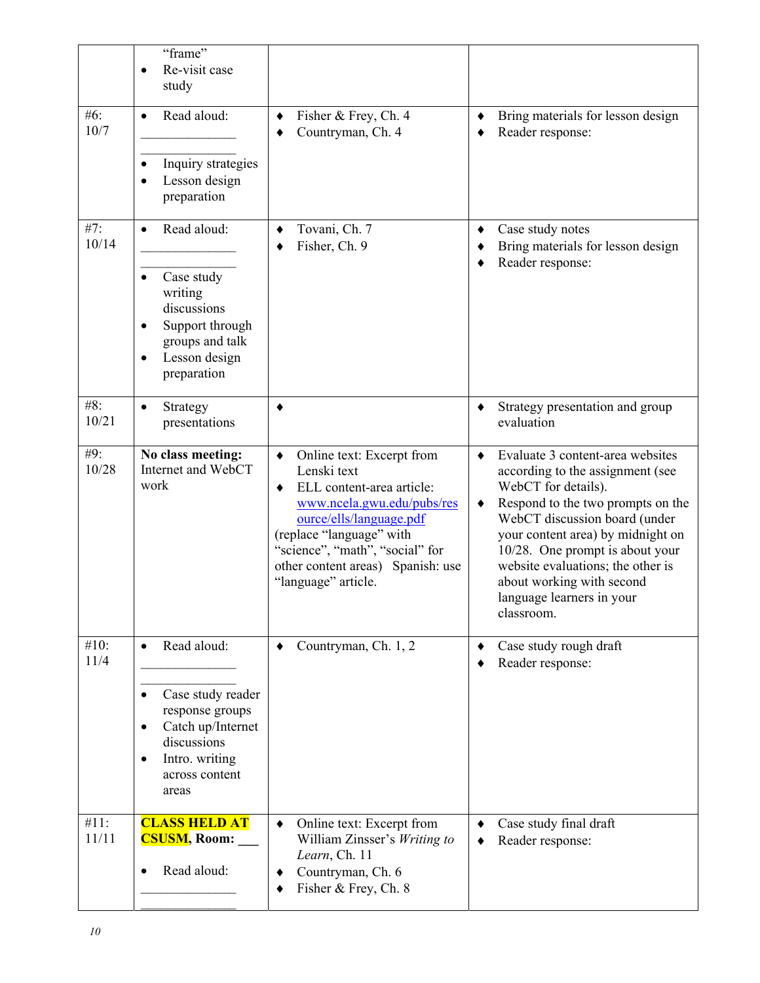|               | "frame"<br>Re-visit case<br>$\bullet$<br>study                                                                                                                           |                                                                                                                                                                                                                                                                     |                                                                                                                                                                                                                                                                                                                                                                          |
|---------------|--------------------------------------------------------------------------------------------------------------------------------------------------------------------------|---------------------------------------------------------------------------------------------------------------------------------------------------------------------------------------------------------------------------------------------------------------------|--------------------------------------------------------------------------------------------------------------------------------------------------------------------------------------------------------------------------------------------------------------------------------------------------------------------------------------------------------------------------|
| #6:<br>10/7   | Read aloud:<br>$\bullet$<br>Inquiry strategies<br>$\bullet$<br>Lesson design<br>$\bullet$<br>preparation                                                                 | Fisher & Frey, Ch. 4<br>٠<br>Countryman, Ch. 4<br>٠                                                                                                                                                                                                                 | Bring materials for lesson design<br>٠<br>Reader response:                                                                                                                                                                                                                                                                                                               |
| #7:<br>10/14  | Read aloud:<br>$\bullet$<br>Case study<br>$\bullet$<br>writing<br>discussions<br>Support through<br>groups and talk<br>Lesson design<br>$\bullet$<br>preparation         | Tovani, Ch. 7<br>٠<br>Fisher, Ch. 9                                                                                                                                                                                                                                 | Case study notes<br>٠<br>Bring materials for lesson design<br>٠<br>Reader response:                                                                                                                                                                                                                                                                                      |
| #8:<br>10/21  | Strategy<br>$\bullet$<br>presentations                                                                                                                                   | ٠                                                                                                                                                                                                                                                                   | Strategy presentation and group<br>٠<br>evaluation                                                                                                                                                                                                                                                                                                                       |
| #9:<br>10/28  | No class meeting:<br>Internet and WebCT<br>work                                                                                                                          | Online text: Excerpt from<br>٠<br>Lenski text<br>ELL content-area article:<br>٠<br>www.ncela.gwu.edu/pubs/res<br>ource/ells/language.pdf<br>(replace "language" with<br>"science", "math", "social" for<br>other content areas) Spanish: use<br>"language" article. | Evaluate 3 content-area websites<br>$\bullet$<br>according to the assignment (see<br>WebCT for details).<br>Respond to the two prompts on the<br>٠<br>WebCT discussion board (under<br>your content area) by midnight on<br>10/28. One prompt is about your<br>website evaluations; the other is<br>about working with second<br>language learners in your<br>classroom. |
| #10:<br>11/4  | Read aloud:<br>$\bullet$<br>Case study reader<br>$\bullet$<br>response groups<br>Catch up/Internet<br>٠<br>discussions<br>Intro. writing<br>٠<br>across content<br>areas | Countryman, Ch. 1, 2<br>٠                                                                                                                                                                                                                                           | Case study rough draft<br>٠<br>Reader response:<br>٠                                                                                                                                                                                                                                                                                                                     |
| #11:<br>11/11 | <b>CLASS HELD AT</b><br><b>CSUSM, Room:</b><br>Read aloud:                                                                                                               | Online text: Excerpt from<br>$\blacklozenge$<br>William Zinsser's Writing to<br>Learn, Ch. 11<br>Countryman, Ch. 6<br>٠<br>Fisher & Frey, Ch. 8<br>٠                                                                                                                | Case study final draft<br>٠<br>Reader response:                                                                                                                                                                                                                                                                                                                          |